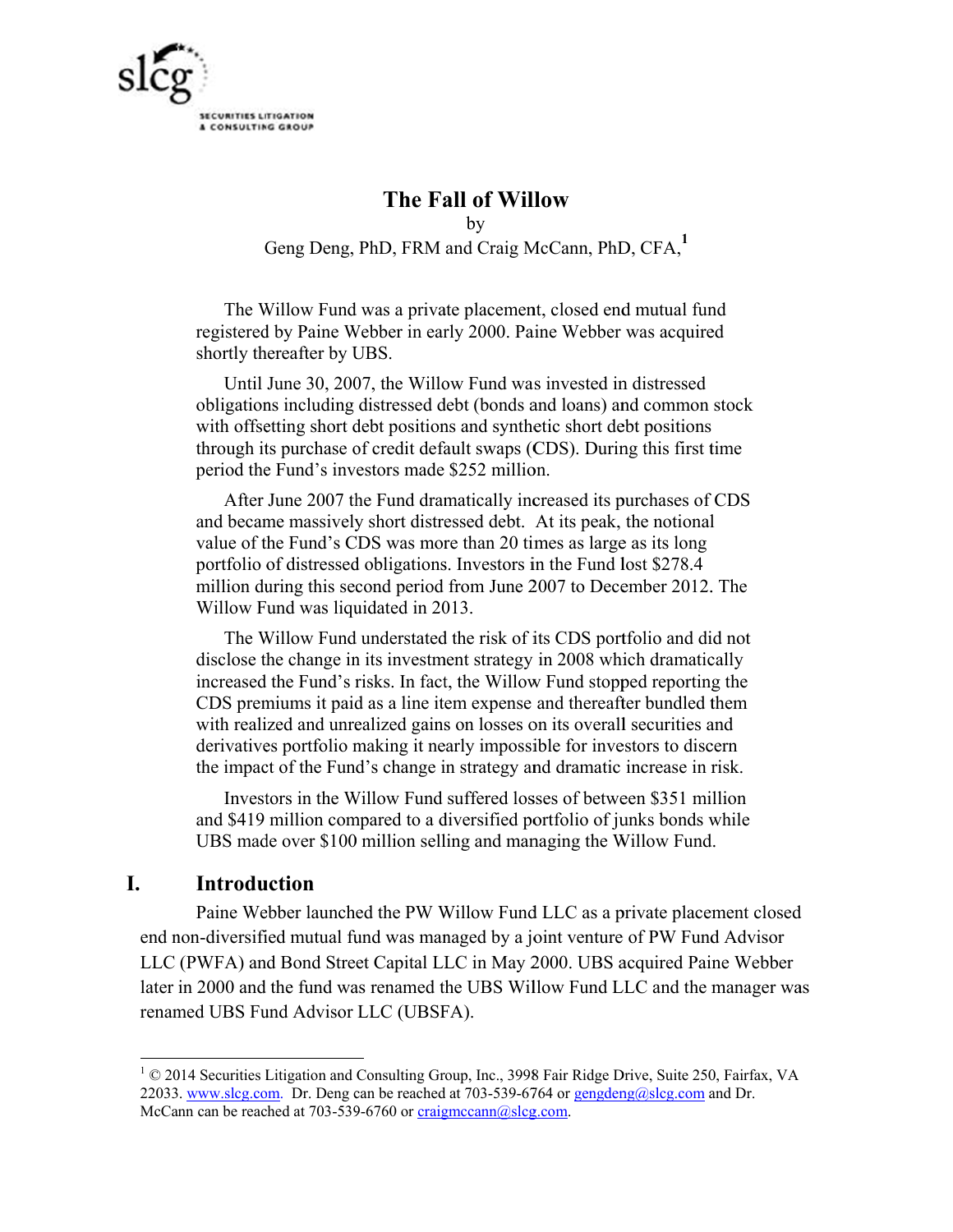

# The Fall of Willow

by Geng Deng, PhD, FRM and Craig McCann, PhD, CFA,1

The Willow Fund was a private placement, closed end mutual fund registered by Paine Webber in early 2000. Paine Webber was acquired shortly thereafter by UBS.

Until June 30, 2007, the Willow Fund was invested in distressed obligations including distressed debt (bonds and loans) and common stock with offsetting short debt positions and synthetic short debt positions through its purchase of credit default swaps (CDS). During this first time period the Fund's investors made \$252 million.

After June 2007 the Fund dramatically increased its purchases of CDS and became massively short distressed debt. At its peak, the notional value of the Fund's CDS was more than 20 times as large as its long portfolio of distressed obligations. Investors in the Fund lost \$278.4 million during this second period from June 2007 to December 2012. The Willow Fund was liquidated in 2013.

The Willow Fund understated the risk of its CDS portfolio and did not disclose the change in its investment strategy in 2008 which dramatically increased the Fund's risks. In fact, the Willow Fund stopped reporting the CDS premiums it paid as a line item expense and thereafter bundled them with realized and unrealized gains on losses on its overall securities and derivatives portfolio making it nearly impossible for investors to discern the impact of the Fund's change in strategy and dramatic increase in risk.

Investors in the Willow Fund suffered losses of between \$351 million and \$419 million compared to a diversified portfolio of junks bonds while UBS made over \$100 million selling and managing the Willow Fund.

### L. **Introduction**

Paine Webber launched the PW Willow Fund LLC as a private placement closed end non-diversified mutual fund was managed by a joint venture of PW Fund Advisor LLC (PWFA) and Bond Street Capital LLC in May 2000. UBS acquired Paine Webber later in 2000 and the fund was renamed the UBS Willow Fund LLC and the manager was renamed UBS Fund Advisor LLC (UBSFA).

<sup>&</sup>lt;sup>1</sup> © 2014 Securities Litigation and Consulting Group, Inc., 3998 Fair Ridge Drive, Suite 250, Fairfax, VA 22033. www.slcg.com. Dr. Deng can be reached at 703-539-6764 or gengdeng@slcg.com and Dr. McCann can be reached at 703-539-6760 or craigmccann@slcg.com.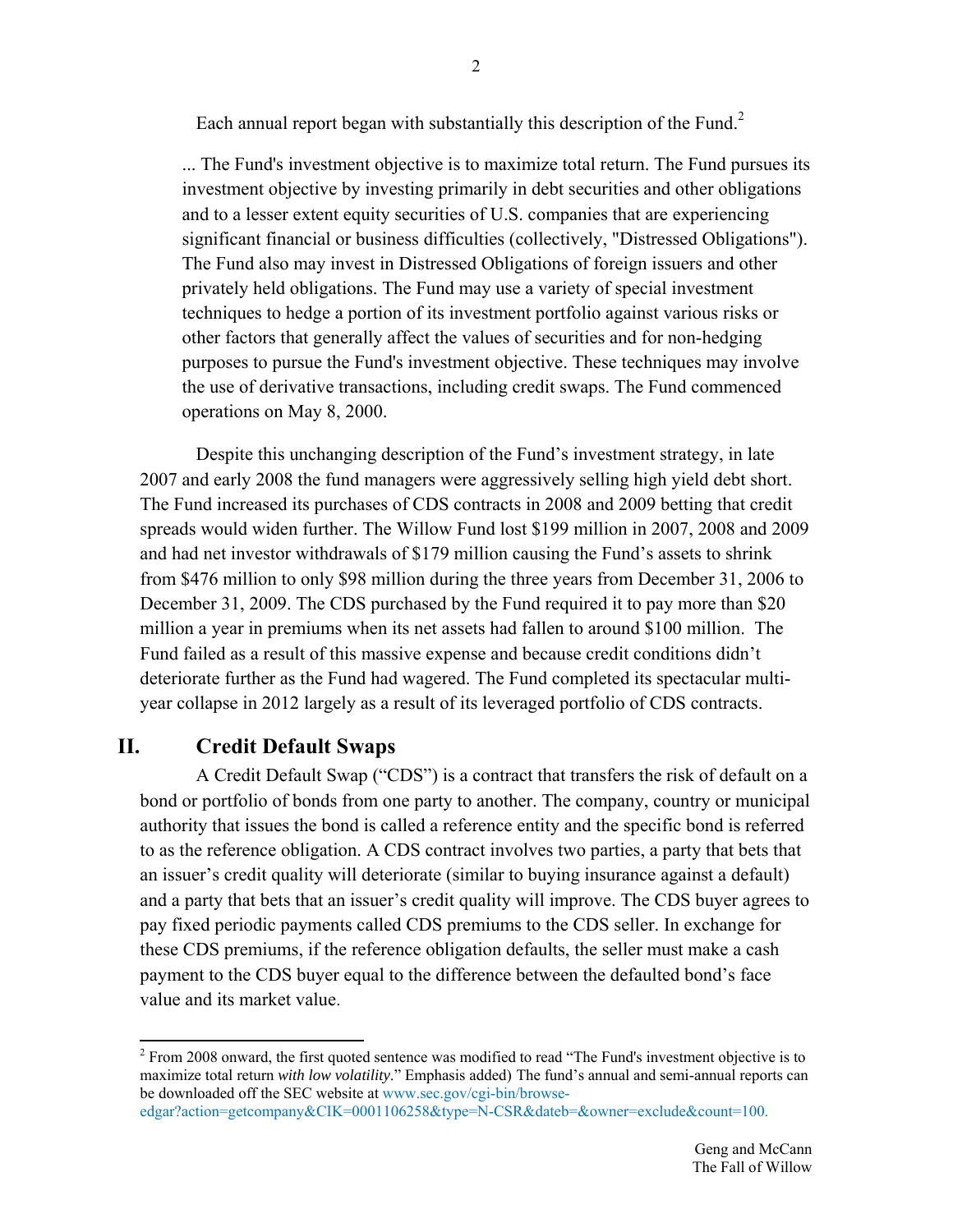Each annual report began with substantially this description of the Fund.<sup>2</sup>

... The Fund's investment objective is to maximize total return. The Fund pursues its investment objective by investing primarily in debt securities and other obligations and to a lesser extent equity securities of U.S. companies that are experiencing significant financial or business difficulties (collectively, "Distressed Obligations"). The Fund also may invest in Distressed Obligations of foreign issuers and other privately held obligations. The Fund may use a variety of special investment techniques to hedge a portion of its investment portfolio against various risks or other factors that generally affect the values of securities and for non-hedging purposes to pursue the Fund's investment objective. These techniques may involve the use of derivative transactions, including credit swaps. The Fund commenced operations on May 8, 2000.

Despite this unchanging description of the Fund's investment strategy, in late 2007 and early 2008 the fund managers were aggressively selling high yield debt short. The Fund increased its purchases of CDS contracts in 2008 and 2009 betting that credit spreads would widen further. The Willow Fund lost \$199 million in 2007, 2008 and 2009 and had net investor withdrawals of \$179 million causing the Fund's assets to shrink from \$476 million to only \$98 million during the three years from December 31, 2006 to December 31, 2009. The CDS purchased by the Fund required it to pay more than \$20 million a year in premiums when its net assets had fallen to around \$100 million. The Fund failed as a result of this massive expense and because credit conditions didn't deteriorate further as the Fund had wagered. The Fund completed its spectacular multiyear collapse in 2012 largely as a result of its leveraged portfolio of CDS contracts.

# **II. Credit Default Swaps**

A Credit Default Swap ("CDS") is a contract that transfers the risk of default on a bond or portfolio of bonds from one party to another. The company, country or municipal authority that issues the bond is called a reference entity and the specific bond is referred to as the reference obligation. A CDS contract involves two parties, a party that bets that an issuer's credit quality will deteriorate (similar to buying insurance against a default) and a party that bets that an issuer's credit quality will improve. The CDS buyer agrees to pay fixed periodic payments called CDS premiums to the CDS seller. In exchange for these CDS premiums, if the reference obligation defaults, the seller must make a cash payment to the CDS buyer equal to the difference between the defaulted bond's face value and its market value.

<sup>&</sup>lt;sup>2</sup> From 2008 onward, the first quoted sentence was modified to read "The Fund's investment objective is to maximize total return *with low volatility*." Emphasis added) The fund's annual and semi-annual reports can be downloaded off the SEC website at www.sec.gov/cgi-bin/browse-

edgar?action=getcompany&CIK=0001106258&type=N-CSR&dateb=&owner=exclude&count=100.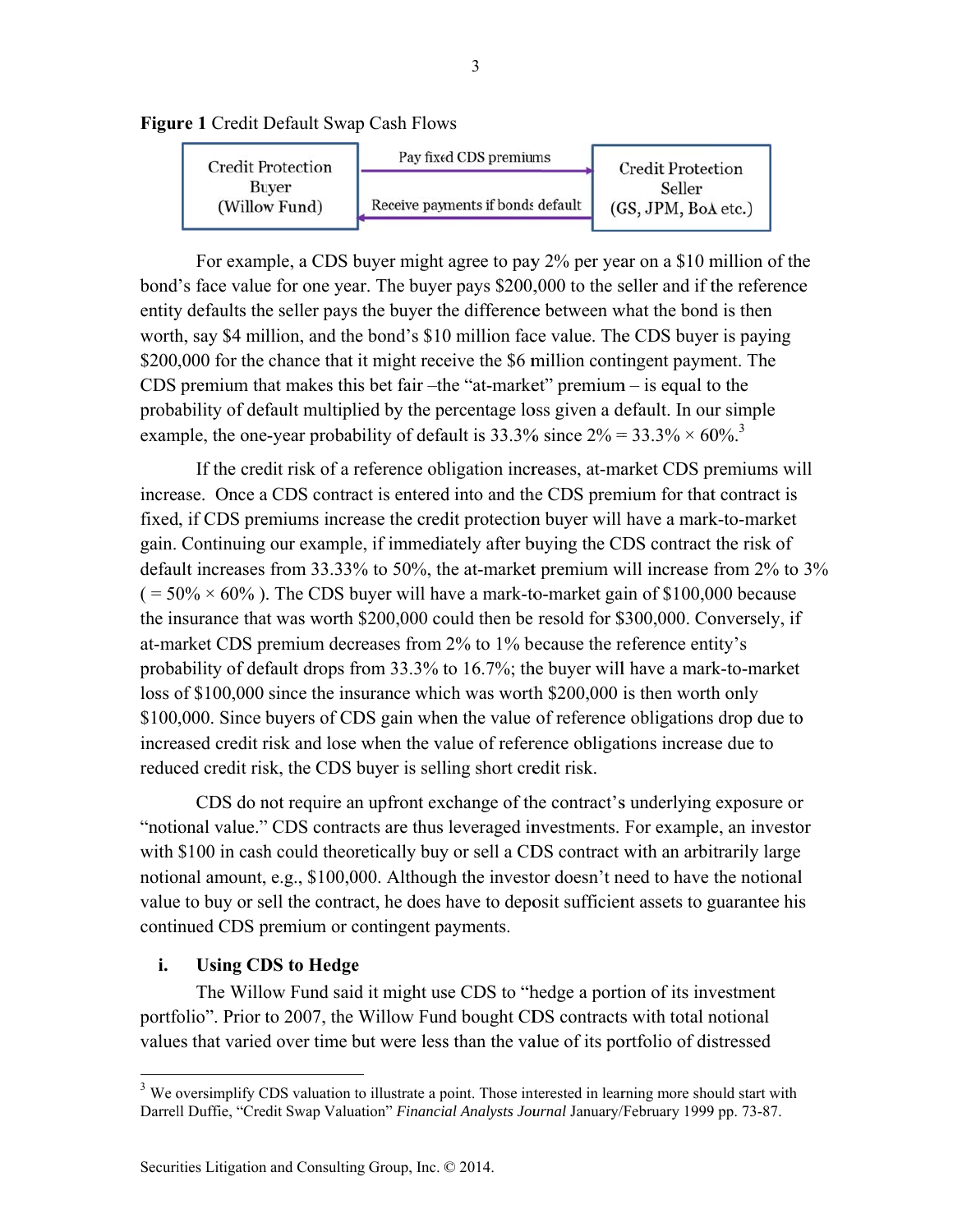



For example, a CDS buyer might agree to pay 2% per year on a \$10 million of the bond's face value for one year. The buyer pays \$200,000 to the seller and if the reference entity defaults the seller pays the buyer the difference between what the bond is then worth, say \$4 million, and the bond's \$10 million face value. The CDS buyer is paying \$200,000 for the chance that it might receive the \$6 million contingent payment. The CDS premium that makes this bet fair  $-$ the "at-market" premium  $-$  is equal to the probability of default multiplied by the percentage loss given a default. In our simple example, the one-year probability of default is 33.3% since  $2\% = 33.3\% \times 60\%$ <sup>3</sup>

If the credit risk of a reference obligation increases, at-market CDS premiums will increase. Once a CDS contract is entered into and the CDS premium for that contract is fixed, if CDS premiums increase the credit protection buyer will have a mark-to-market gain. Continuing our example, if immediately after buying the CDS contract the risk of default increases from 33.33% to 50%, the at-market premium will increase from 2% to 3%  $(1.50\% \times 60\%)$ . The CDS buyer will have a mark-to-market gain of \$100,000 because the insurance that was worth \$200,000 could then be resold for \$300,000. Conversely, if at-market CDS premium decreases from 2% to 1% because the reference entity's probability of default drops from 33.3% to 16.7%; the buyer will have a mark-to-market loss of \$100,000 since the insurance which was worth \$200,000 is then worth only \$100,000. Since buyers of CDS gain when the value of reference obligations drop due to increased credit risk and lose when the value of reference obligations increase due to reduced credit risk, the CDS buyer is selling short credit risk.

CDS do not require an upfront exchange of the contract's underlying exposure or "notional value." CDS contracts are thus leveraged investments. For example, an investor with \$100 in cash could theoretically buy or sell a CDS contract with an arbitrarily large notional amount, e.g., \$100,000. Although the investor doesn't need to have the notional value to buy or sell the contract, he does have to deposit sufficient assets to guarantee his continued CDS premium or contingent payments.

#### i. **Using CDS to Hedge**

The Willow Fund said it might use CDS to "hedge a portion of its investment" portfolio". Prior to 2007, the Willow Fund bought CDS contracts with total notional values that varied over time but were less than the value of its portfolio of distressed

 $\mathfrak{Z}$ 

<sup>&</sup>lt;sup>3</sup> We oversimplify CDS valuation to illustrate a point. Those interested in learning more should start with Darrell Duffie, "Credit Swap Valuation" Financial Analysts Journal January/February 1999 pp. 73-87.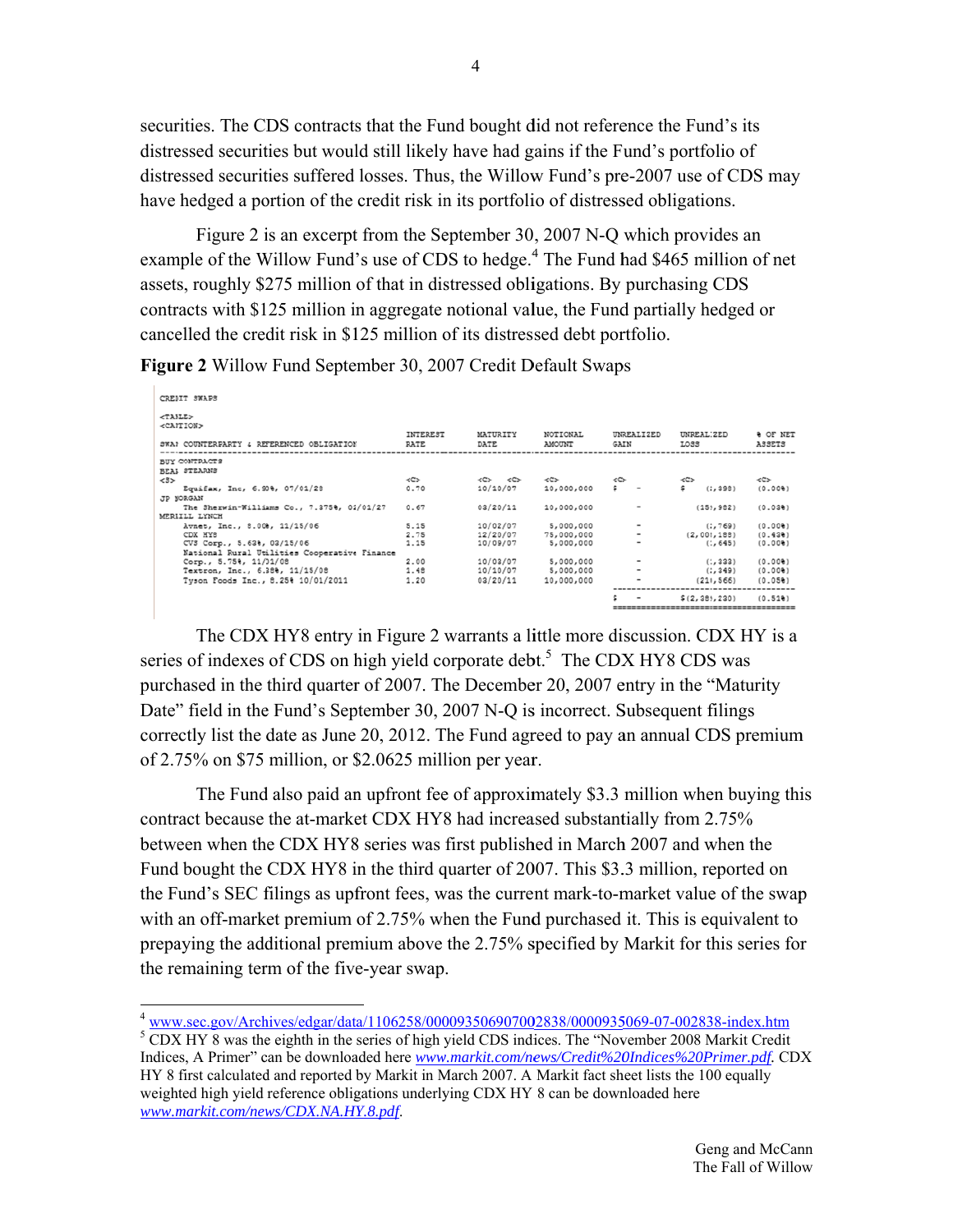securities. The CDS contracts that the Fund bought did not reference the Fund's its distressed securities but would still likely have had gains if the Fund's portfolio of distressed securities suffered losses. Thus, the Willow Fund's pre-2007 use of CDS may have hedged a portion of the credit risk in its portfolio of distressed obligations.

Figure 2 is an excerpt from the September 30, 2007 N-O which provides an example of the Willow Fund's use of CDS to hedge.<sup>4</sup> The Fund had \$465 million of net assets, roughly \$275 million of that in distressed obligations. By purchasing CDS contracts with \$125 million in aggregate notional value, the Fund partially hedged or cancelled the credit risk in \$125 million of its distressed debt portfolio.

| CREDIT SWAPS                                 |          |                                         |            |                          |               |                     |
|----------------------------------------------|----------|-----------------------------------------|------------|--------------------------|---------------|---------------------|
| <table></table>                              |          |                                         |            |                          |               |                     |
| <cantion></cantion>                          |          |                                         |            |                          |               |                     |
|                                              | INTEREST | MATURITY                                | NOTIONAL   | <b>UNREALIZED</b>        | UNREALIZED    | <b>&amp; OF NET</b> |
| SWAP COUNTERPARTY & REFERENCED OBLIGATION    | RATE     | DATE                                    | AMOUNT     | GAIN                     | LOSS          | <b>ASSETS</b>       |
|                                              |          |                                         |            |                          |               |                     |
| <b>BUY CONTRACTS</b><br>BEAL STEARNS         |          |                                         |            |                          |               |                     |
| 23                                           | ≺⊂≻      | $\langle C \rangle$ $\langle C \rangle$ | くごと        | ≺C≻                      | $\ll$         | くごン                 |
| Equifax, Inc, 6.900, 07/01/28                | 0.70     | 10/10/07                                | 10,000,000 | s.                       | (2, 398)      | (0.00)              |
| <b>JP MORGAN</b>                             |          |                                         |            |                          |               |                     |
| The Sherwin-Williams Co., 7.375%, 01/01/27   | 0.67     | 03/20/11                                | 10,000,000 | $\,$                     | (159, 982)    | (0.03)              |
| MERIILL LYNCH                                |          |                                         |            |                          |               |                     |
| Avnet, Inc., 8.00%, 11/15/06                 | 5.15     | 10/02/07                                | 5,000,000  | -                        | (2, 769)      | (0.00)              |
| CDX HY8                                      | 2.75     | 12/20/07                                | 75,000,000 | $\overline{\phantom{a}}$ | (2,008,188)   | (0.43)              |
| CV3 Corp., 5.63%, 03/15/06                   | 1.15     | 10/09/07                                | 5,000,000  | $\,$                     | (1, 645)      | (0.00)              |
| National Rural Utilities Cooperative Finance |          |                                         |            |                          |               |                     |
| Corp., 5.75%, 11/01/08                       | 2.00     | 10/03/07                                | 5,000,000  |                          | (1, 333)      | (0.00)              |
| Textron, Inc., 6.380, 11/15/08               | 1.48     | 10/10/07                                | 5,000,000  | $\,$                     | (2, 349)      | (0.00)              |
| Tyson Foods Inc., 8.250 10/01/2011           | 1.20     | 03/20/11                                | 10,000,000 | $\,$                     | (210, 566)    | (0.05)              |
|                                              |          |                                         |            |                          | \$(2,389,230) | (0.51)              |
|                                              |          |                                         |            |                          |               |                     |
|                                              |          |                                         |            |                          |               |                     |

Figure 2 Willow Fund September 30, 2007 Credit Default Swaps

The CDX HY8 entry in Figure 2 warrants a little more discussion. CDX HY is a series of indexes of CDS on high yield corporate debt.<sup>5</sup> The CDX HY8 CDS was purchased in the third quarter of 2007. The December 20, 2007 entry in the "Maturity" Date" field in the Fund's September 30, 2007 N-Q is incorrect. Subsequent filings correctly list the date as June 20, 2012. The Fund agreed to pay an annual CDS premium of 2.75% on \$75 million, or \$2.0625 million per year.

The Fund also paid an upfront fee of approximately \$3.3 million when buying this contract because the at-market CDX HY8 had increased substantially from 2.75% between when the CDX HY8 series was first published in March 2007 and when the Fund bought the CDX HY8 in the third quarter of 2007. This \$3.3 million, reported on the Fund's SEC filings as upfront fees, was the current mark-to-market value of the swap with an off-market premium of 2.75% when the Fund purchased it. This is equivalent to prepaying the additional premium above the 2.75% specified by Markit for this series for the remaining term of the five-year swap.

 $4$  www.sec.gov/Archives/edgar/data/1106258/000093506907002838/0000935069-07-002838-index.htm

<sup>&</sup>lt;sup>5</sup> CDX HY 8 was the eighth in the series of high yield CDS indices. The "November 2008 Markit Credit" Indices, A Primer" can be downloaded here www.markit.com/news/Credit%20Indices%20Primer.pdf. CDX HY 8 first calculated and reported by Markit in March 2007. A Markit fact sheet lists the 100 equally weighted high yield reference obligations underlying CDX HY 8 can be downloaded here www.markit.com/news/CDX.NA.HY.8.pdf.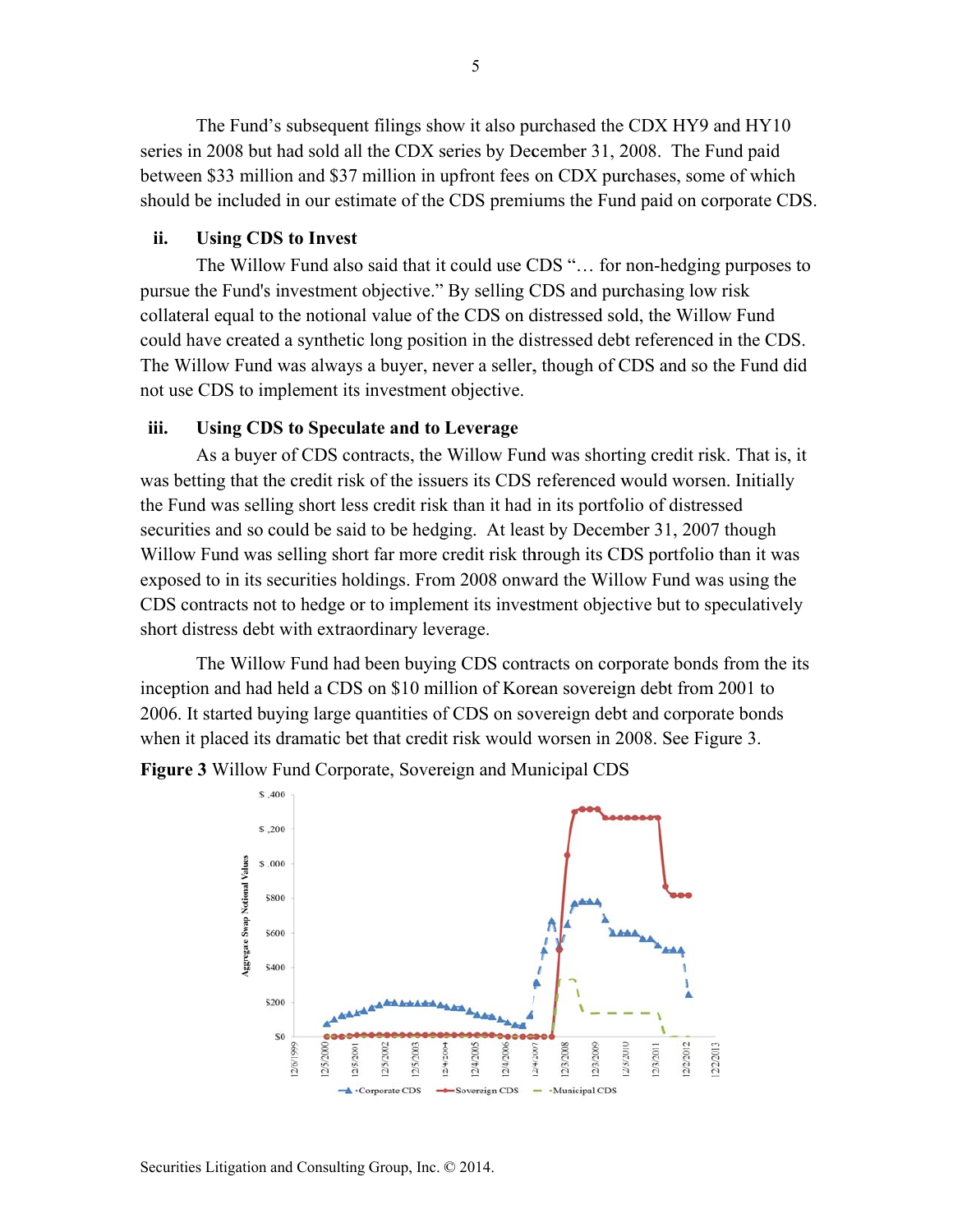The Fund's subsequent filings show it also purchased the CDX HY9 and HY10 series in 2008 but had sold all the CDX series by December 31, 2008. The Fund paid between \$33 million and \$37 million in upfront fees on CDX purchases, some of which should be included in our estimate of the CDS premiums the Fund paid on corporate CDS.

#### ii. **Using CDS to Invest**

The Willow Fund also said that it could use CDS "... for non-hedging purposes to pursue the Fund's investment objective." By selling CDS and purchasing low risk collateral equal to the notional value of the CDS on distressed sold, the Willow Fund could have created a synthetic long position in the distressed debt referenced in the CDS. The Willow Fund was always a buyer, never a seller, though of CDS and so the Fund did not use CDS to implement its investment objective.

#### iii. **Using CDS to Speculate and to Leverage**

As a buyer of CDS contracts, the Willow Fund was shorting credit risk. That is, it was betting that the credit risk of the issuers its CDS referenced would worsen. Initially the Fund was selling short less credit risk than it had in its portfolio of distressed securities and so could be said to be hedging. At least by December 31, 2007 though Willow Fund was selling short far more credit risk through its CDS portfolio than it was exposed to in its securities holdings. From 2008 onward the Willow Fund was using the CDS contracts not to hedge or to implement its investment objective but to speculatively short distress debt with extraordinary leverage.

The Willow Fund had been buying CDS contracts on corporate bonds from the its inception and had held a CDS on \$10 million of Korean sovereign debt from 2001 to 2006. It started buying large quantities of CDS on sovereign debt and corporate bonds when it placed its dramatic bet that credit risk would worsen in 2008. See Figure 3.

Figure 3 Willow Fund Corporate, Sovereign and Municipal CDS

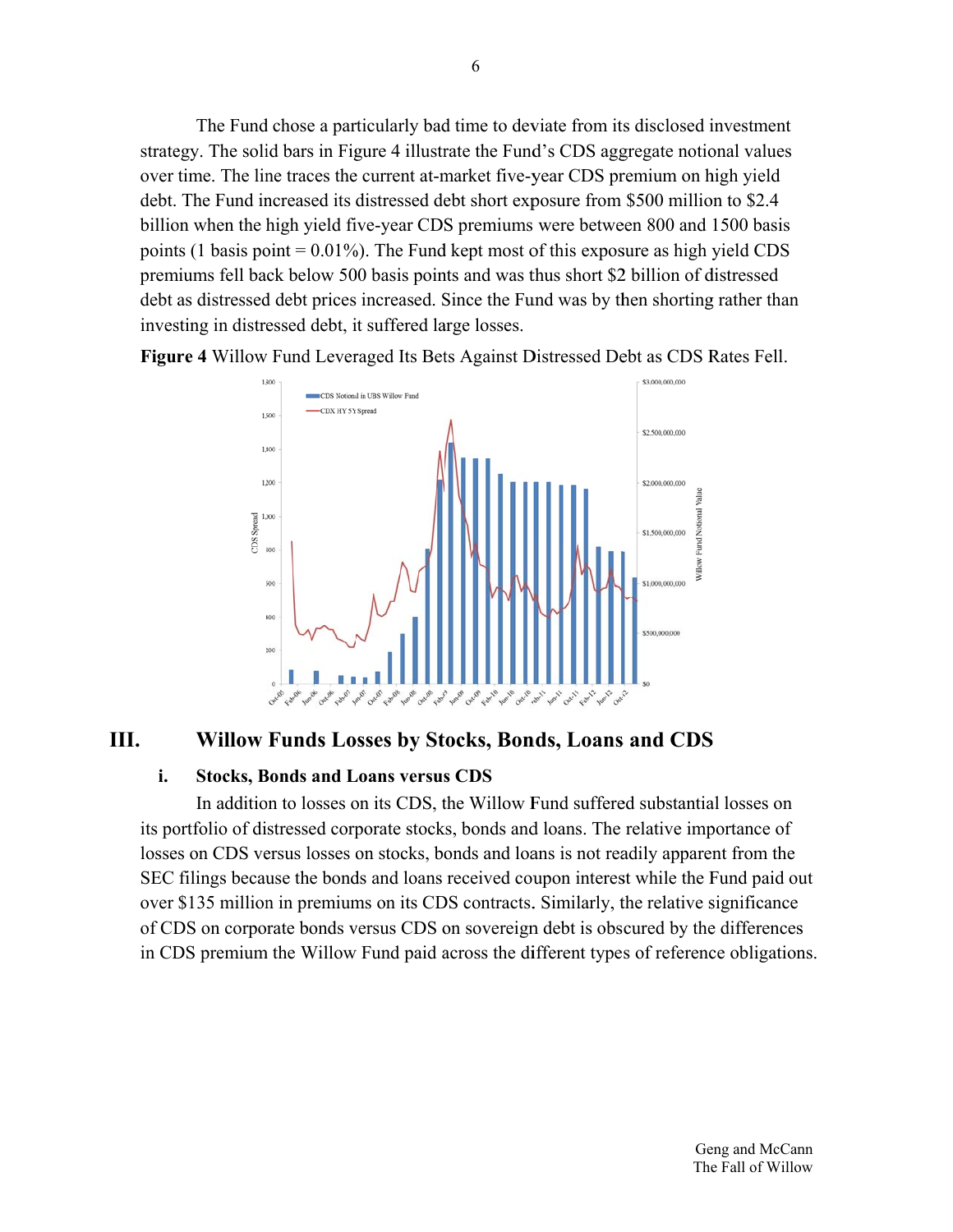The Fund chose a particularly bad time to deviate from its disclosed investment strategy. The solid bars in Figure 4 illustrate the Fund's CDS aggregate notional values over time. The line traces the current at-market five-year CDS premium on high yield debt. The Fund increased its distressed debt short exposure from \$500 million to \$2.4 billion when the high yield five-year CDS premiums were between 800 and 1500 basis points (1 basis point =  $0.01\%$ ). The Fund kept most of this exposure as high yield CDS premiums fell back below 500 basis points and was thus short \$2 billion of distressed debt as distressed debt prices increased. Since the Fund was by then shorting rather than investing in distressed debt, it suffered large losses.

Figure 4 Willow Fund Leveraged Its Bets Against Distressed Debt as CDS Rates Fell.



### III. Willow Funds Losses by Stocks, Bonds, Loans and CDS

#### i. **Stocks, Bonds and Loans versus CDS**

In addition to losses on its CDS, the Willow Fund suffered substantial losses on its portfolio of distressed corporate stocks, bonds and loans. The relative importance of losses on CDS versus losses on stocks, bonds and loans is not readily apparent from the SEC filings because the bonds and loans received coupon interest while the Fund paid out over \$135 million in premiums on its CDS contracts. Similarly, the relative significance of CDS on corporate bonds versus CDS on sovereign debt is obscured by the differences in CDS premium the Willow Fund paid across the different types of reference obligations.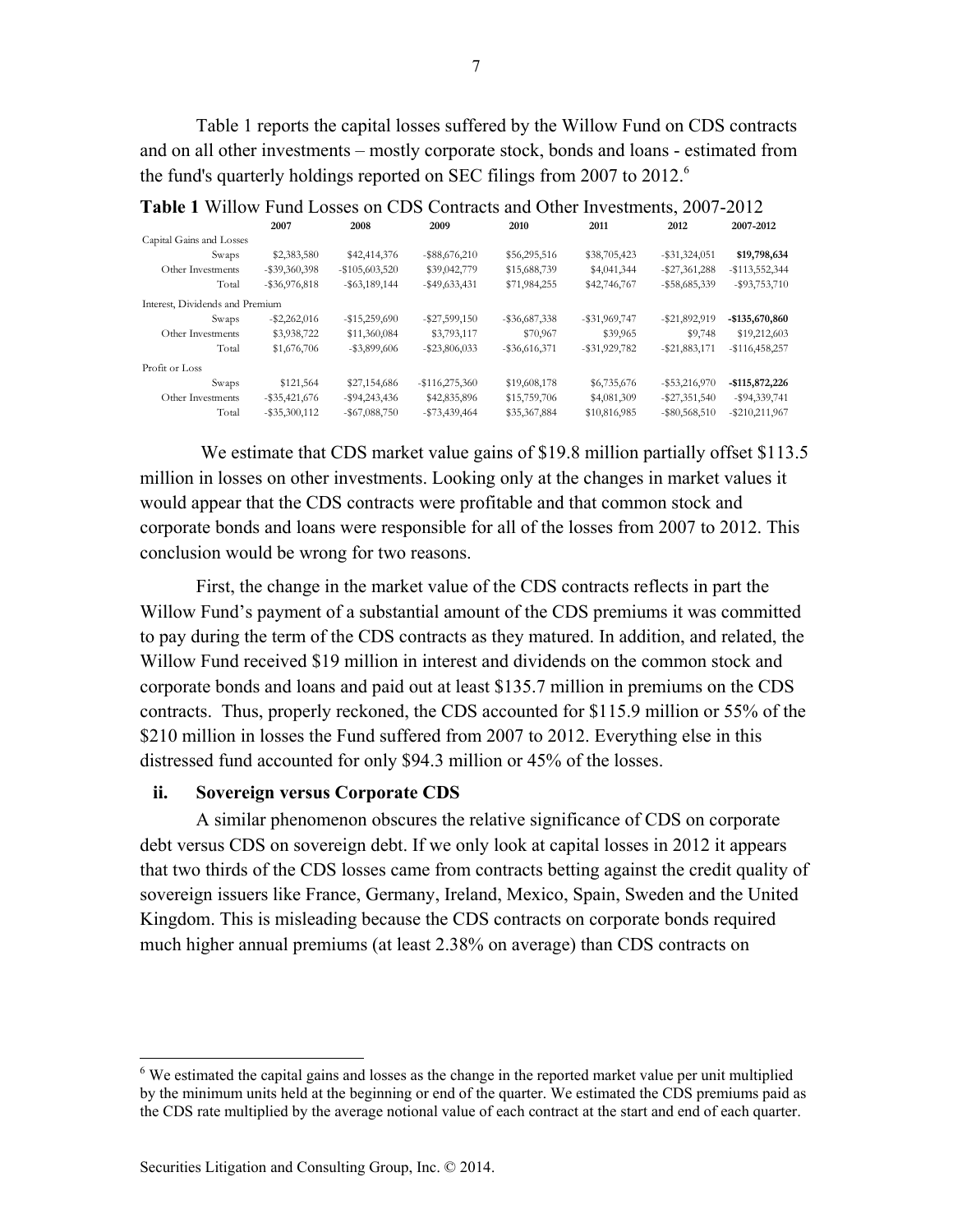Table 1 reports the capital losses suffered by the Willow Fund on CDS contracts and on all other investments – mostly corporate stock, bonds and loans - estimated from the fund's quarterly holdings reported on SEC filings from 2007 to 2012.<sup>6</sup>

|                                 | 2007             | 2008              | 2009              | 2010             | 2011             | 2012             | 2007-2012         |
|---------------------------------|------------------|-------------------|-------------------|------------------|------------------|------------------|-------------------|
| Capital Gains and Losses        |                  |                   |                   |                  |                  |                  |                   |
| Swaps                           | \$2,383,580      | \$42,414,376      | $-$ \$88,676,210  | \$56,295,516     | \$38,705,423     | $-$ \$31,324,051 | \$19,798,634      |
| Other Investments               | $-$ \$39,360,398 | $-$ \$105,603,520 | \$39,042,779      | \$15,688,739     | \$4,041,344      | $-$ \$27,361,288 | $-$113,552,344$   |
| Total                           | $-$ \$36,976,818 | $-$ \$63,189,144  | $-$ \$49,633,431  | \$71,984,255     | \$42,746,767     | $-$ \$58,685,339 | $-$ \$93,753,710  |
| Interest, Dividends and Premium |                  |                   |                   |                  |                  |                  |                   |
| Swaps                           | $-$ \$2,262,016  | $-$ \$15,259,690  | $-$ \$27,599,150  | $-$ \$36,687,338 | $-$ \$31,969,747 | $-$ \$21,892,919 | -\$135,670,860    |
| Other Investments               | \$3,938,722      | \$11,360,084      | \$3,793,117       | \$70,967         | \$39,965         | \$9,748          | \$19,212,603      |
| Total                           | \$1,676,706      | $-$ \$3,899,606   | $-$ \$23,806,033  | $-$ \$36,616,371 | $-$ \$31,929,782 | $-$ \$21,883,171 | $-$116,458,257$   |
| Profit or Loss                  |                  |                   |                   |                  |                  |                  |                   |
| Swaps                           | \$121,564        | \$27,154,686      | $-$ \$116,275,360 | \$19,608,178     | \$6,735,676      | $-$ \$53,216,970 | $-$115,872,226$   |
| Other Investments               | $-$ \$35,421,676 | $-$ \$94,243,436  | \$42,835,896      | \$15,759,706     | \$4,081,309      | $-$ \$27,351,540 | $-$ \$94,339,741  |
| Total                           | $-$ \$35,300,112 | $-$ \$67,088,750  | $-$ \$73,439,464  | \$35,367,884     | \$10,816,985     | $-$ \$80,568,510 | $-$ \$210,211,967 |

**Table 1** Willow Fund Losses on CDS Contracts and Other Investments, 2007-2012

We estimate that CDS market value gains of \$19.8 million partially offset \$113.5 million in losses on other investments. Looking only at the changes in market values it would appear that the CDS contracts were profitable and that common stock and corporate bonds and loans were responsible for all of the losses from 2007 to 2012. This conclusion would be wrong for two reasons.

First, the change in the market value of the CDS contracts reflects in part the Willow Fund's payment of a substantial amount of the CDS premiums it was committed to pay during the term of the CDS contracts as they matured. In addition, and related, the Willow Fund received \$19 million in interest and dividends on the common stock and corporate bonds and loans and paid out at least \$135.7 million in premiums on the CDS contracts. Thus, properly reckoned, the CDS accounted for \$115.9 million or 55% of the \$210 million in losses the Fund suffered from 2007 to 2012. Everything else in this distressed fund accounted for only \$94.3 million or 45% of the losses.

### **ii. Sovereign versus Corporate CDS**

A similar phenomenon obscures the relative significance of CDS on corporate debt versus CDS on sovereign debt. If we only look at capital losses in 2012 it appears that two thirds of the CDS losses came from contracts betting against the credit quality of sovereign issuers like France, Germany, Ireland, Mexico, Spain, Sweden and the United Kingdom. This is misleading because the CDS contracts on corporate bonds required much higher annual premiums (at least 2.38% on average) than CDS contracts on

l

<sup>&</sup>lt;sup>6</sup> We estimated the capital gains and losses as the change in the reported market value per unit multiplied by the minimum units held at the beginning or end of the quarter. We estimated the CDS premiums paid as the CDS rate multiplied by the average notional value of each contract at the start and end of each quarter.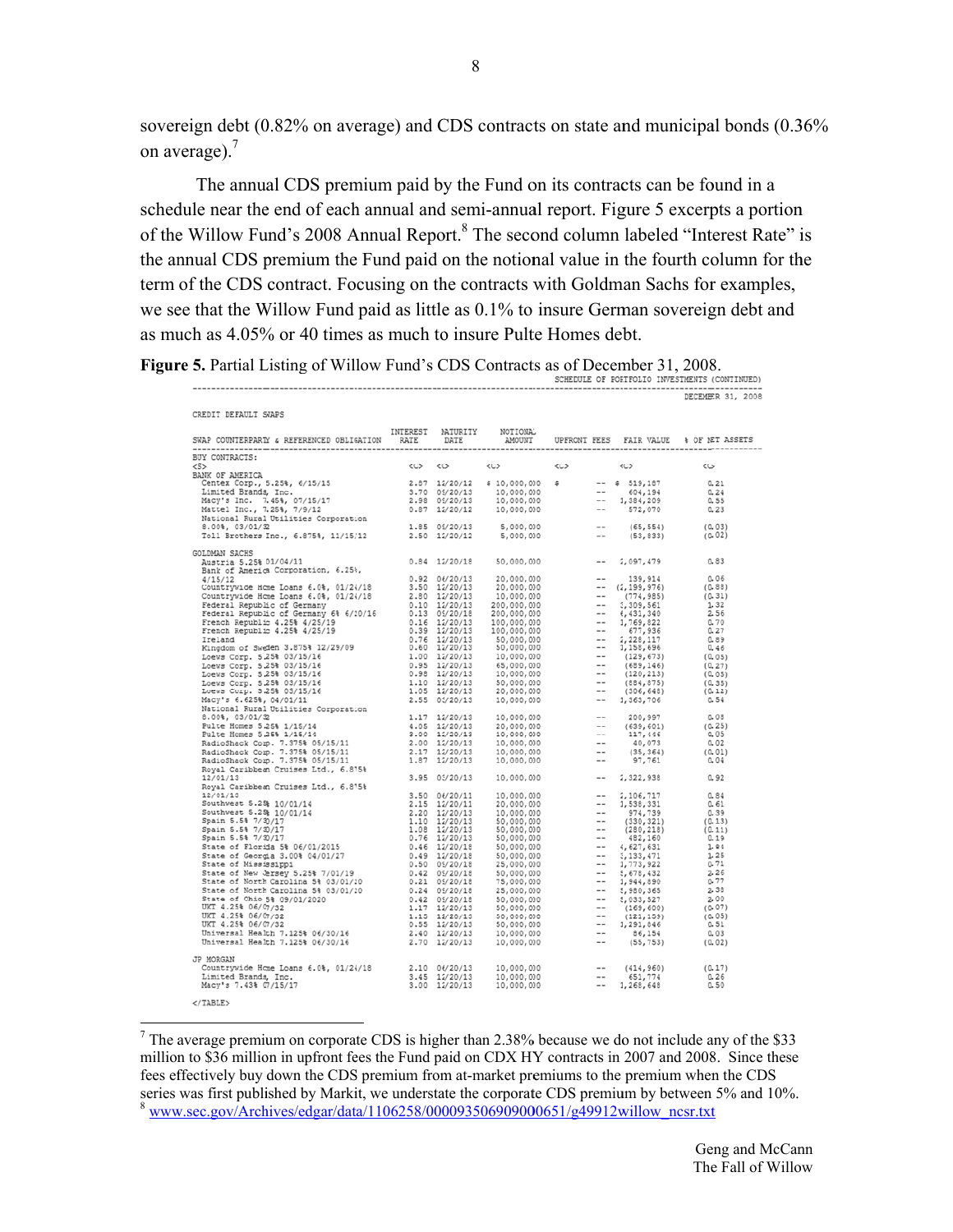sovereign debt (0.82% on average) and CDS contracts on state and municipal bonds (0.36% on average). $<sup>7</sup>$ </sup>

The annual CDS premium paid by the Fund on its contracts can be found in a schedule near the end of each annual and semi-annual report. Figure 5 excerpts a portion of the Willow Fund's 2008 Annual Report.<sup>8</sup> The second column labeled "Interest Rate" is the annual CDS premium the Fund paid on the notional value in the fourth column for the term of the CDS contract. Focusing on the contracts with Goldman Sachs for examples, we see that the Willow Fund paid as little as 0.1% to insure German sovereign debt and as much as 4.05% or 40 times as much to insure Pulte Homes debt.

Figure 5. Partial Listing of Willow Fund's CDS Contracts as of December 31, 2008. SCHEDULE OF PORTFOLIO INVESTMENTS (CONTINUED)

|                                                                                                                                                                                                                                                                                                 |  |                                                             |            |                                            | DECEMBER 31, 2008 |
|-------------------------------------------------------------------------------------------------------------------------------------------------------------------------------------------------------------------------------------------------------------------------------------------------|--|-------------------------------------------------------------|------------|--------------------------------------------|-------------------|
| CREDIT DEFAULT SWAPS                                                                                                                                                                                                                                                                            |  |                                                             |            |                                            |                   |
|                                                                                                                                                                                                                                                                                                 |  |                                                             |            |                                            |                   |
| BUY CONTRACTS:                                                                                                                                                                                                                                                                                  |  |                                                             |            |                                            |                   |
| 55                                                                                                                                                                                                                                                                                              |  | $\langle C \rangle$ $\langle C \rangle$ $\langle C \rangle$ | $<<$ C $>$ | くじょ                                        | < <sub></sub>     |
| BANK OF AMERICA<br>ANK OF AMERICA<br>Centex Corp., 5.25%, 6/15/15<br>Limited Brands, Inc. (1992)<br>2.89 09/20/13 10,000,000 + 604,194 0.24<br>Matical Inc., 7.25%, 7/9/12<br>Matical Inc., 7.35%, 7/9/12<br>Matical Inc., 7.25%, 7/9/12<br>Matical Inc., 7.25%                                 |  |                                                             |            |                                            |                   |
|                                                                                                                                                                                                                                                                                                 |  |                                                             |            |                                            |                   |
|                                                                                                                                                                                                                                                                                                 |  |                                                             |            |                                            |                   |
|                                                                                                                                                                                                                                                                                                 |  |                                                             |            |                                            |                   |
|                                                                                                                                                                                                                                                                                                 |  |                                                             |            |                                            |                   |
|                                                                                                                                                                                                                                                                                                 |  |                                                             |            |                                            |                   |
|                                                                                                                                                                                                                                                                                                 |  |                                                             |            |                                            |                   |
| GOLDMAN SACHS<br>Austria 5.25% 01/04/11                                                                                                                                                                                                                                                         |  |                                                             |            | 0.84 12/20/18 50,000,000 -- 2,097,479      | 0.83              |
| Austria 5.25% 01/04/11<br>Bank of America Corporation, 6.25%,                                                                                                                                                                                                                                   |  |                                                             |            |                                            |                   |
| Bank of America Corporation, 6.25;<br>(-15)12<br>(-15)12<br>Countrywide Home Loans 6.04, 01/2//18<br>(-15)12/20/13<br>20,000,000 -- (1399,976)<br>Countrywide Home Loans 6.04, 01/2//18<br>2.80 12/20/13<br>20,000,000 -- (174,985)<br>Pederal                                                  |  |                                                             |            |                                            |                   |
|                                                                                                                                                                                                                                                                                                 |  |                                                             |            |                                            |                   |
|                                                                                                                                                                                                                                                                                                 |  |                                                             |            |                                            |                   |
|                                                                                                                                                                                                                                                                                                 |  |                                                             |            |                                            |                   |
|                                                                                                                                                                                                                                                                                                 |  |                                                             |            |                                            |                   |
|                                                                                                                                                                                                                                                                                                 |  |                                                             |            |                                            |                   |
|                                                                                                                                                                                                                                                                                                 |  |                                                             |            |                                            |                   |
|                                                                                                                                                                                                                                                                                                 |  |                                                             |            |                                            |                   |
|                                                                                                                                                                                                                                                                                                 |  |                                                             |            |                                            |                   |
|                                                                                                                                                                                                                                                                                                 |  |                                                             |            |                                            |                   |
|                                                                                                                                                                                                                                                                                                 |  |                                                             |            |                                            |                   |
|                                                                                                                                                                                                                                                                                                 |  |                                                             |            |                                            |                   |
|                                                                                                                                                                                                                                                                                                 |  |                                                             |            |                                            |                   |
|                                                                                                                                                                                                                                                                                                 |  |                                                             |            |                                            |                   |
|                                                                                                                                                                                                                                                                                                 |  |                                                             |            |                                            |                   |
|                                                                                                                                                                                                                                                                                                 |  |                                                             |            |                                            |                   |
|                                                                                                                                                                                                                                                                                                 |  |                                                             |            |                                            |                   |
|                                                                                                                                                                                                                                                                                                 |  |                                                             |            |                                            |                   |
|                                                                                                                                                                                                                                                                                                 |  |                                                             |            |                                            |                   |
|                                                                                                                                                                                                                                                                                                 |  |                                                             |            |                                            |                   |
| 12/01/13                                                                                                                                                                                                                                                                                        |  |                                                             |            | 3.95 03/20/13 10,000,000 -- 2,322,938 0.92 |                   |
|                                                                                                                                                                                                                                                                                                 |  |                                                             |            |                                            |                   |
|                                                                                                                                                                                                                                                                                                 |  |                                                             |            |                                            |                   |
|                                                                                                                                                                                                                                                                                                 |  |                                                             |            |                                            |                   |
|                                                                                                                                                                                                                                                                                                 |  |                                                             |            |                                            |                   |
|                                                                                                                                                                                                                                                                                                 |  |                                                             |            |                                            |                   |
|                                                                                                                                                                                                                                                                                                 |  |                                                             |            |                                            |                   |
|                                                                                                                                                                                                                                                                                                 |  |                                                             |            |                                            |                   |
|                                                                                                                                                                                                                                                                                                 |  |                                                             |            |                                            |                   |
|                                                                                                                                                                                                                                                                                                 |  |                                                             |            |                                            |                   |
|                                                                                                                                                                                                                                                                                                 |  |                                                             |            |                                            |                   |
|                                                                                                                                                                                                                                                                                                 |  |                                                             |            |                                            |                   |
|                                                                                                                                                                                                                                                                                                 |  |                                                             |            |                                            |                   |
|                                                                                                                                                                                                                                                                                                 |  |                                                             |            |                                            |                   |
|                                                                                                                                                                                                                                                                                                 |  |                                                             |            |                                            |                   |
|                                                                                                                                                                                                                                                                                                 |  |                                                             |            |                                            |                   |
|                                                                                                                                                                                                                                                                                                 |  |                                                             |            |                                            |                   |
| $\begin{array}{cccccc} 12/01/13 & 10/001/10 & 3.55 & 03/20/13 & 10/000/000 & -- & 2,322,938 & 0.92\\ 12/01/131 & 12/01/14 & 2.15 & 12/20/11 & 10/000/000 & -- & 2,106,731 & 0.84\\ \text{Souchimeter 5.258 } 10/01/14 & 2.15 & 12/20/13 & 10/000/000 & -- & 3,5331 & 0.84\\ \text{Souchimeter $ |  |                                                             |            |                                            |                   |
| JP MORGAN                                                                                                                                                                                                                                                                                       |  |                                                             |            |                                            |                   |
|                                                                                                                                                                                                                                                                                                 |  |                                                             |            |                                            | (0.17)            |
| Countrywide Home Loans 6.0%; 01/2i/18 2.10 06/20/13 10,000,000 -- (414,960)<br>Limited Brands, Inc. 5.45 12/20/13 10,000,000 -- 651,774<br>Macy's 7.43% 07/15/17 - 3.40 12/20/13 10,000,000 -- 1,266,648                                                                                        |  |                                                             |            |                                            | $0.26$<br>$0.50$  |
|                                                                                                                                                                                                                                                                                                 |  |                                                             |            |                                            |                   |

<sup>7</sup> The average premium on corporate CDS is higher than 2.38% because we do not include any of the \$33 million to \$36 million in upfront fees the Fund paid on CDX HY contracts in 2007 and 2008. Since these fees effectively buy down the CDS premium from at-market premiums to the premium when the CDS series was first published by Markit, we understate the corporate CDS premium by between 5% and 10%. www.sec.gov/Archives/edgar/data/1106258/000093506909000651/g49912willow ncsr.txt

8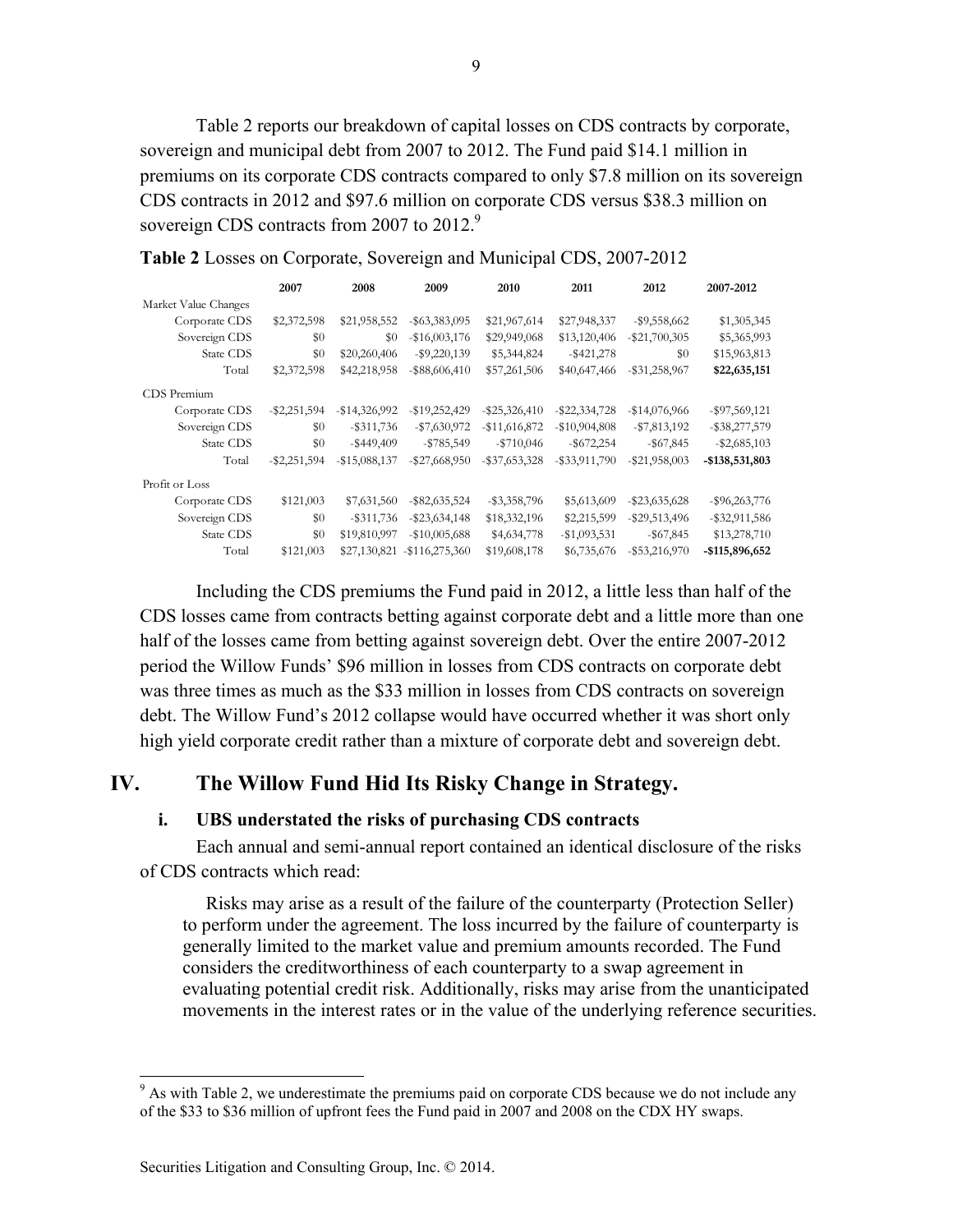Table 2 reports our breakdown of capital losses on CDS contracts by corporate, sovereign and municipal debt from 2007 to 2012. The Fund paid \$14.1 million in premiums on its corporate CDS contracts compared to only \$7.8 million on its sovereign CDS contracts in 2012 and \$97.6 million on corporate CDS versus \$38.3 million on sovereign CDS contracts from 2007 to 2012. $9$ 

|                      | 2007            | 2008             | 2009                         | 2010             | 2011             | 2012             | 2007-2012        |
|----------------------|-----------------|------------------|------------------------------|------------------|------------------|------------------|------------------|
| Market Value Changes |                 |                  |                              |                  |                  |                  |                  |
| Corporate CDS        | \$2,372,598     | \$21,958,552     | $-$ \$63,383,095             | \$21,967,614     | \$27,948,337     | $-$ \$9,558,662  | \$1,305,345      |
| Sovereign CDS        | \$0             | \$0              | $-$ \$16,003,176             | \$29,949,068     | \$13,120,406     | $-$ \$21,700,305 | \$5,365,993      |
| State CDS            | \$0             | \$20,260,406     | $-$ \$9,220,139              | \$5,344,824      | $-$ \$421,278    | \$0              | \$15,963,813     |
| Total                | \$2,372,598     | \$42,218,958     | $-$ \$88,606,410             | \$57,261,506     | \$40,647,466     | $-$ \$31,258,967 | \$22,635,151     |
| CDS Premium          |                 |                  |                              |                  |                  |                  |                  |
| Corporate CDS        | $-$ \$2,251,594 | $-$ \$14,326,992 | $-$19,252,429$               | $-$ \$25,326,410 | $-$ \$22,334,728 | $-$14,076,966$   | $-$ \$97,569,121 |
| Sovereign CDS        | $\$0$           | $-$ \$311,736    | $- $7,630,972$               | $-$ \$11,616,872 | $-$10,904,808$   | $- $7,813,192$   | $-$ \$38,277,579 |
| State CDS            | \$0             | $-$ \$449,409    | $-$ \$785,549                | $-$ \$710,046    | $-$ \$672,254    | $-$ \$67,845     | $-$ \$2,685,103  |
| Total                | $-$ \$2,251,594 | $-$ \$15,088,137 | $-$ \$27,668,950             | $-$ \$37,653,328 | $-$ \$33,911,790 | $-$ \$21,958,003 | -\$138,531,803   |
| Profit or Loss       |                 |                  |                              |                  |                  |                  |                  |
| Corporate CDS        | \$121,003       | \$7,631,560      | $-$ \$82,635,524             | $-$ \$3,358,796  | \$5,613,609      | $-$ \$23,635,628 | $-$ \$96,263,776 |
| Sovereign CDS        | \$0             | $-$ \$311,736    | $-$ \$23,634,148             | \$18,332,196     | \$2,215,599      | $-$ \$29,513,496 | $-$ \$32,911,586 |
| State CDS            | \$0             | \$19,810,997     | $-$10,005,688$               | \$4,634,778      | $-$1,093,531$    | $-$ \$67,845     | \$13,278,710     |
| Total                | \$121,003       |                  | \$27,130,821 - \$116,275,360 | \$19,608,178     | \$6,735,676      | $-$ \$53,216,970 | -\$115,896,652   |

| Table 2 Losses on Corporate, Sovereign and Municipal CDS, 2007-2012 |  |  |
|---------------------------------------------------------------------|--|--|
|                                                                     |  |  |

Including the CDS premiums the Fund paid in 2012, a little less than half of the CDS losses came from contracts betting against corporate debt and a little more than one half of the losses came from betting against sovereign debt. Over the entire 2007-2012 period the Willow Funds' \$96 million in losses from CDS contracts on corporate debt was three times as much as the \$33 million in losses from CDS contracts on sovereign debt. The Willow Fund's 2012 collapse would have occurred whether it was short only high yield corporate credit rather than a mixture of corporate debt and sovereign debt.

### **IV. The Willow Fund Hid Its Risky Change in Strategy.**

### **i. UBS understated the risks of purchasing CDS contracts**

Each annual and semi-annual report contained an identical disclosure of the risks of CDS contracts which read:

 Risks may arise as a result of the failure of the counterparty (Protection Seller) to perform under the agreement. The loss incurred by the failure of counterparty is generally limited to the market value and premium amounts recorded. The Fund considers the creditworthiness of each counterparty to a swap agreement in evaluating potential credit risk. Additionally, risks may arise from the unanticipated movements in the interest rates or in the value of the underlying reference securities.

l

<sup>&</sup>lt;sup>9</sup> As with Table 2, we underestimate the premiums paid on corporate CDS because we do not include any of the \$33 to \$36 million of upfront fees the Fund paid in 2007 and 2008 on the CDX HY swaps.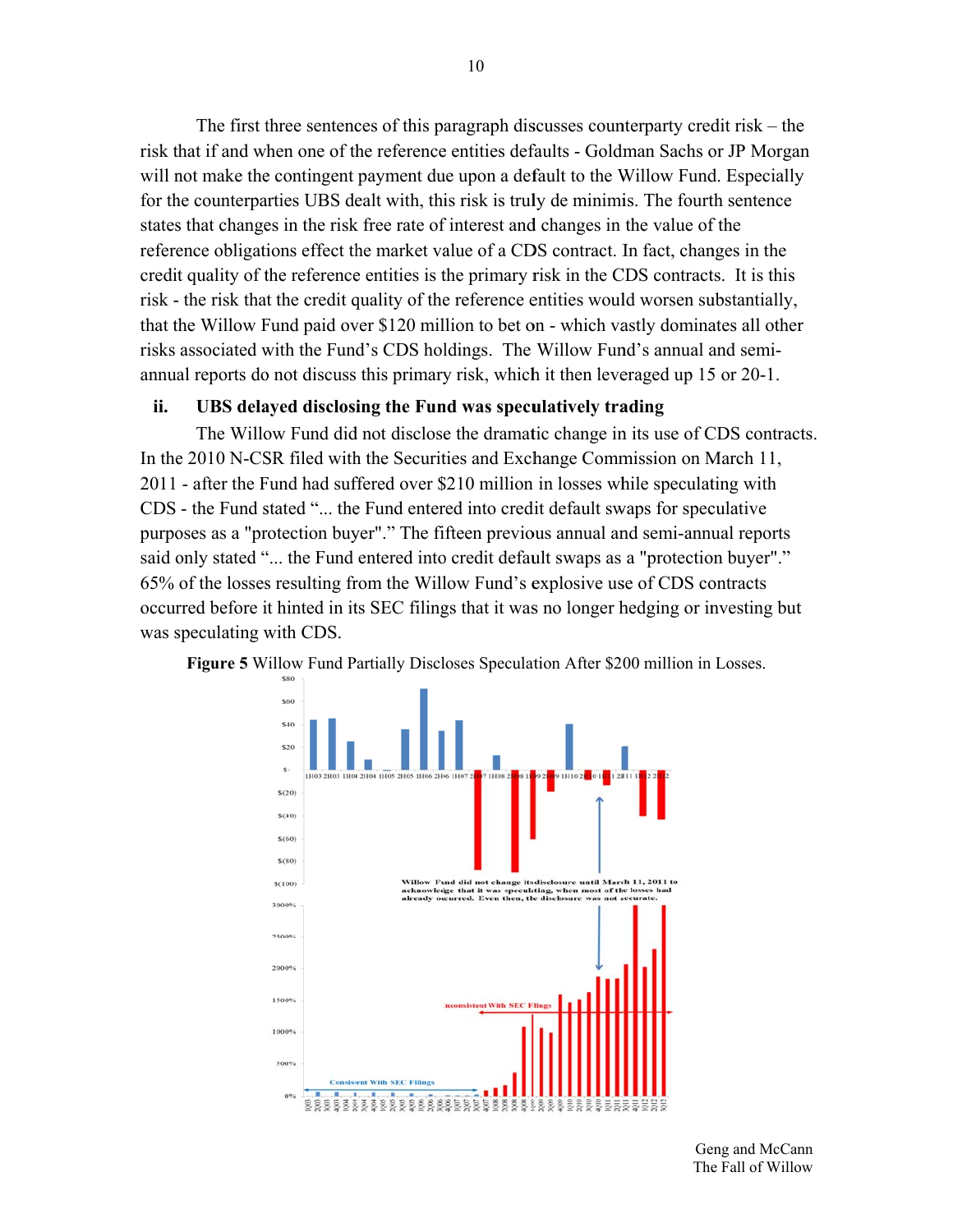The first three sentences of this paragraph discusses counterparty credit risk  $-$  the risk that if and when one of the reference entities defaults - Goldman Sachs or JP Morgan will not make the contingent payment due upon a default to the Willow Fund. Especially for the counterparties UBS dealt with, this risk is truly de minimis. The fourth sentence states that changes in the risk free rate of interest and changes in the value of the reference obligations effect the market value of a CDS contract. In fact, changes in the credit quality of the reference entities is the primary risk in the CDS contracts. It is this risk - the risk that the credit quality of the reference entities would worsen substantially, that the Willow Fund paid over \$120 million to bet on - which vastly dominates all other risks associated with the Fund's CDS holdings. The Willow Fund's annual and semiannual reports do not discuss this primary risk, which it then leveraged up 15 or 20-1.

#### ii. UBS delayed disclosing the Fund was speculatively trading

The Willow Fund did not disclose the dramatic change in its use of CDS contracts. In the 2010 N-CSR filed with the Securities and Exchange Commission on March 11, 2011 - after the Fund had suffered over \$210 million in losses while speculating with CDS - the Fund stated "... the Fund entered into credit default swaps for speculative purposes as a "protection buyer"." The fifteen previous annual and semi-annual reports said only stated "... the Fund entered into credit default swaps as a "protection buyer"." 65% of the losses resulting from the Willow Fund's explosive use of CDS contracts occurred before it hinted in its SEC filings that it was no longer hedging or investing but was speculating with CDS.

![](_page_9_Figure_3.jpeg)

**Figure 5** Willow Fund Partially Discloses Speculation After \$200 million in Losses.

Geng and McCann The Fall of Willow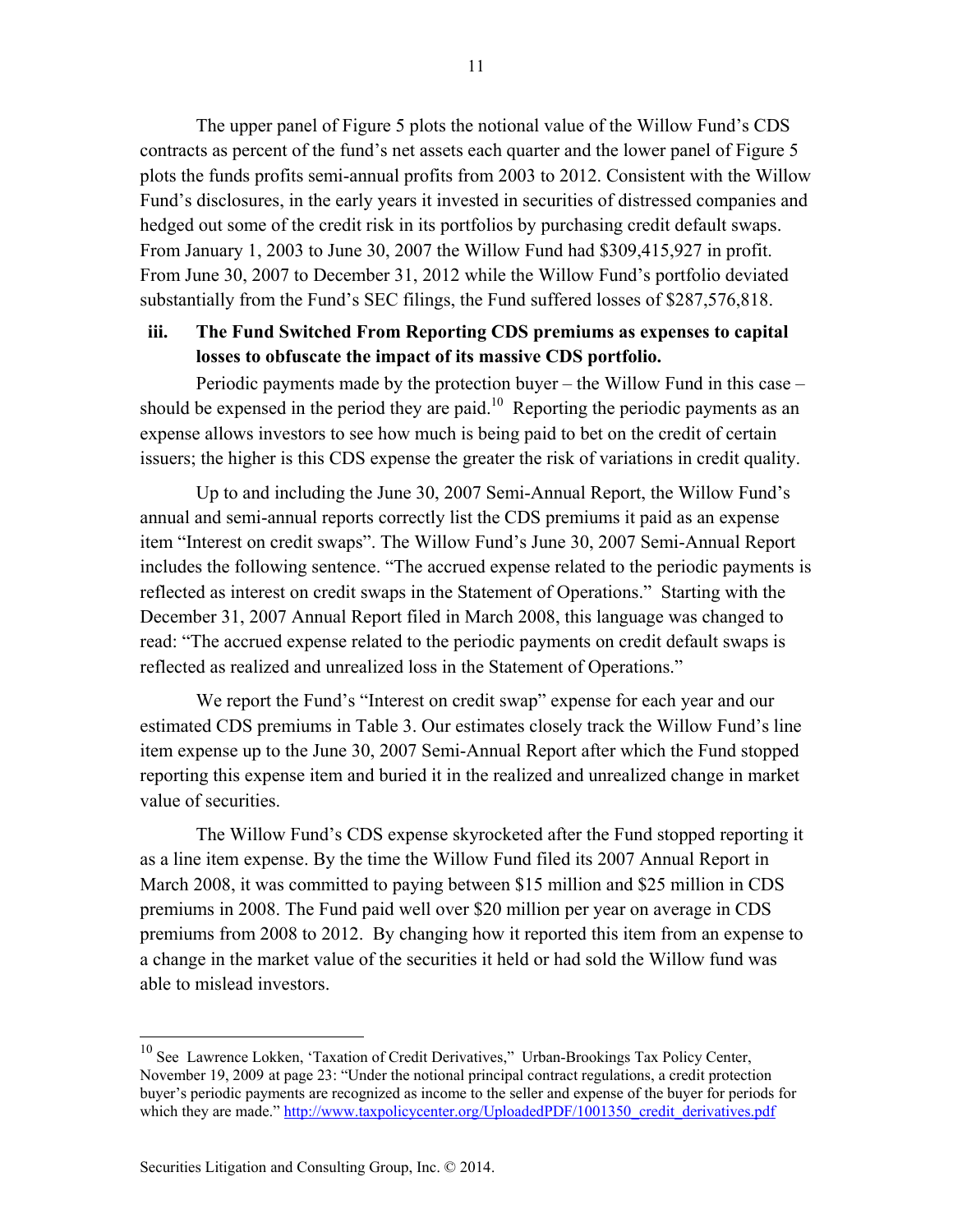The upper panel of Figure 5 plots the notional value of the Willow Fund's CDS contracts as percent of the fund's net assets each quarter and the lower panel of Figure 5 plots the funds profits semi-annual profits from 2003 to 2012. Consistent with the Willow Fund's disclosures, in the early years it invested in securities of distressed companies and hedged out some of the credit risk in its portfolios by purchasing credit default swaps. From January 1, 2003 to June 30, 2007 the Willow Fund had \$309,415,927 in profit. From June 30, 2007 to December 31, 2012 while the Willow Fund's portfolio deviated substantially from the Fund's SEC filings, the Fund suffered losses of \$287,576,818.

## **iii. The Fund Switched From Reporting CDS premiums as expenses to capital losses to obfuscate the impact of its massive CDS portfolio.**

Periodic payments made by the protection buyer – the Willow Fund in this case – should be expensed in the period they are paid.<sup>10</sup> Reporting the periodic payments as an expense allows investors to see how much is being paid to bet on the credit of certain issuers; the higher is this CDS expense the greater the risk of variations in credit quality.

Up to and including the June 30, 2007 Semi-Annual Report, the Willow Fund's annual and semi-annual reports correctly list the CDS premiums it paid as an expense item "Interest on credit swaps". The Willow Fund's June 30, 2007 Semi-Annual Report includes the following sentence. "The accrued expense related to the periodic payments is reflected as interest on credit swaps in the Statement of Operations." Starting with the December 31, 2007 Annual Report filed in March 2008, this language was changed to read: "The accrued expense related to the periodic payments on credit default swaps is reflected as realized and unrealized loss in the Statement of Operations."

We report the Fund's "Interest on credit swap" expense for each year and our estimated CDS premiums in Table 3. Our estimates closely track the Willow Fund's line item expense up to the June 30, 2007 Semi-Annual Report after which the Fund stopped reporting this expense item and buried it in the realized and unrealized change in market value of securities.

The Willow Fund's CDS expense skyrocketed after the Fund stopped reporting it as a line item expense. By the time the Willow Fund filed its 2007 Annual Report in March 2008, it was committed to paying between \$15 million and \$25 million in CDS premiums in 2008. The Fund paid well over \$20 million per year on average in CDS premiums from 2008 to 2012. By changing how it reported this item from an expense to a change in the market value of the securities it held or had sold the Willow fund was able to mislead investors.

 $\overline{a}$ 

 $10$  See Lawrence Lokken, 'Taxation of Credit Derivatives," Urban-Brookings Tax Policy Center, November 19, 2009 at page 23: "Under the notional principal contract regulations, a credit protection buyer's periodic payments are recognized as income to the seller and expense of the buyer for periods for which they are made." http://www.taxpolicycenter.org/UploadedPDF/1001350\_credit\_derivatives.pdf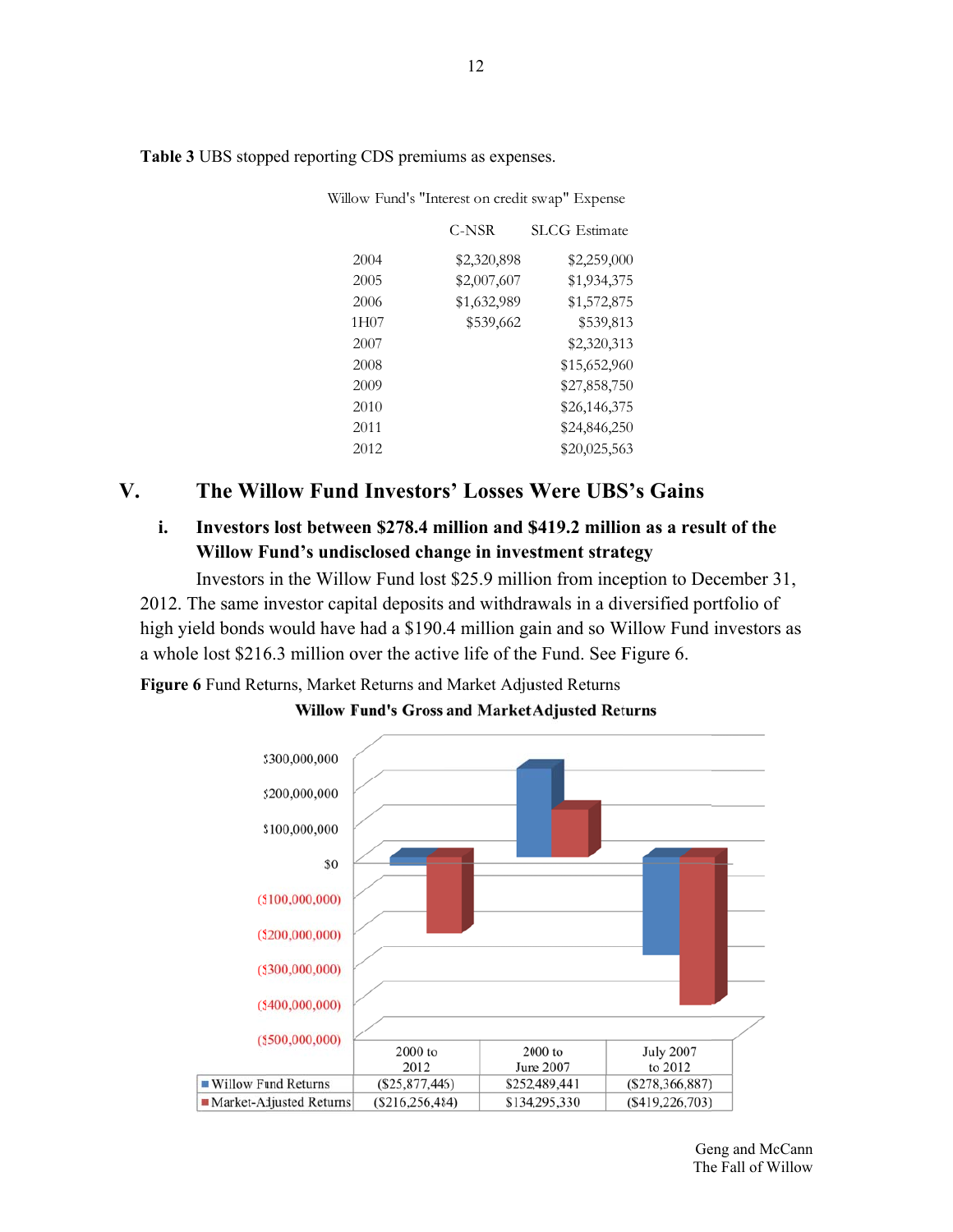|                  | C-NSR       | <b>SLCG</b> Estimate |
|------------------|-------------|----------------------|
| 2004             | \$2,320,898 | \$2,259,000          |
| 2005             | \$2,007,607 | \$1,934,375          |
| 2006             | \$1,632,989 | \$1,572,875          |
| 1H <sub>07</sub> | \$539,662   | \$539,813            |
| 2007             |             | \$2,320,313          |
| 2008             |             | \$15,652,960         |
| 2009             |             | \$27,858,750         |
| 2010             |             | \$26,146,375         |
| 2011             |             | \$24,846,250         |
| 2012             |             | \$20,025,563         |

Table 3 UBS stopped reporting CDS premiums as expenses.

Willow Fund's "Interest on credit swap" Expense

### $V_{\bullet}$ The Willow Fund Investors' Losses Were UBS's Gains

### i. Investors lost between \$278.4 million and \$419.2 million as a result of the Willow Fund's undisclosed change in investment strategy

Investors in the Willow Fund lost \$25.9 million from inception to December 31, 2012. The same investor capital deposits and withdrawals in a diversified portfolio of high yield bonds would have had a \$190.4 million gain and so Willow Fund investors as a whole lost \$216.3 million over the active life of the Fund. See Figure 6.

Figure 6 Fund Returns, Market Returns and Market Adjusted Returns

![](_page_11_Figure_7.jpeg)

**Willow Fund's Gross and Market Adjusted Returns** 

Geng and McCann The Fall of Willow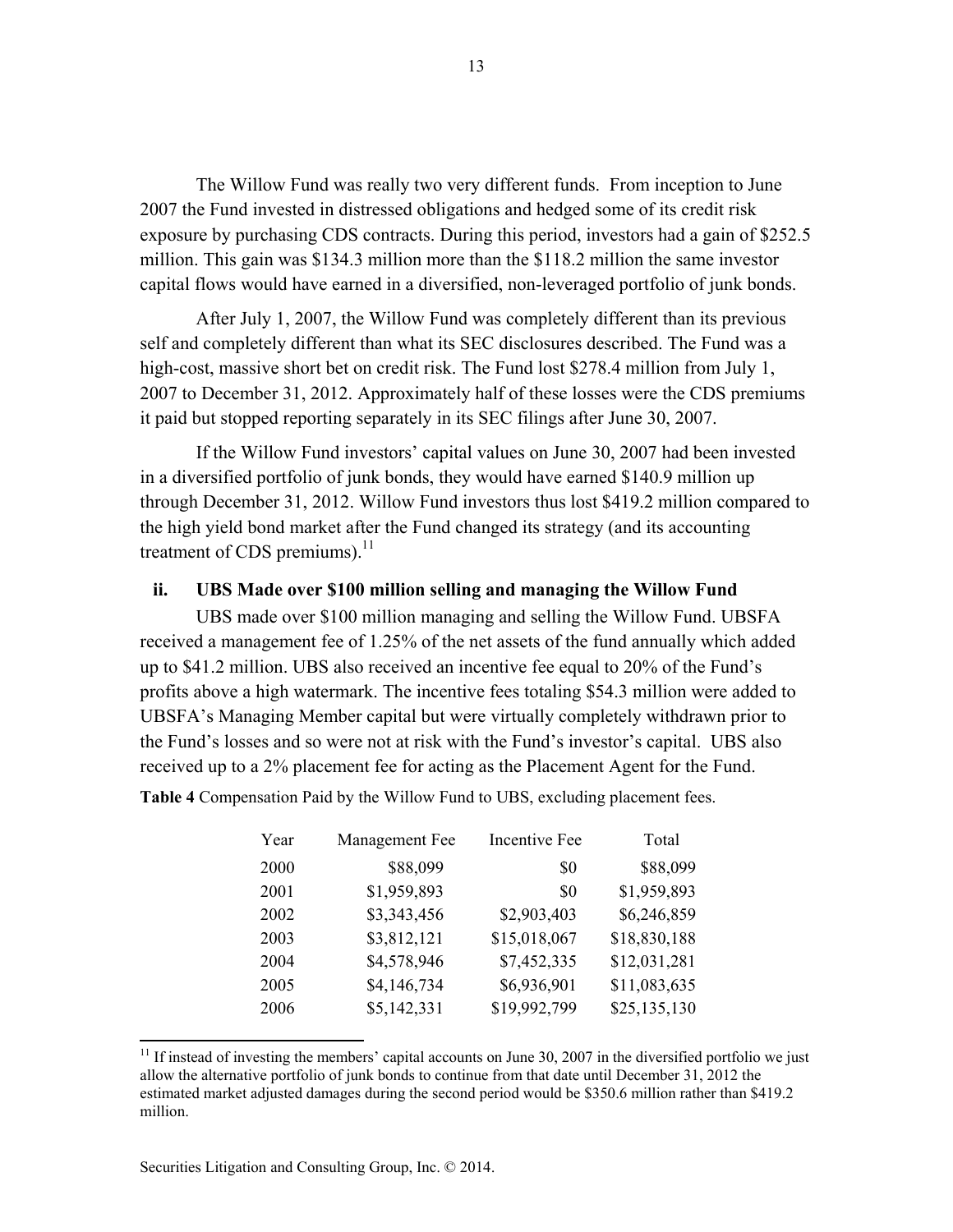The Willow Fund was really two very different funds. From inception to June 2007 the Fund invested in distressed obligations and hedged some of its credit risk exposure by purchasing CDS contracts. During this period, investors had a gain of \$252.5 million. This gain was \$134.3 million more than the \$118.2 million the same investor capital flows would have earned in a diversified, non-leveraged portfolio of junk bonds.

After July 1, 2007, the Willow Fund was completely different than its previous self and completely different than what its SEC disclosures described. The Fund was a high-cost, massive short bet on credit risk. The Fund lost \$278.4 million from July 1, 2007 to December 31, 2012. Approximately half of these losses were the CDS premiums it paid but stopped reporting separately in its SEC filings after June 30, 2007.

If the Willow Fund investors' capital values on June 30, 2007 had been invested in a diversified portfolio of junk bonds, they would have earned \$140.9 million up through December 31, 2012. Willow Fund investors thus lost \$419.2 million compared to the high yield bond market after the Fund changed its strategy (and its accounting treatment of CDS premiums). $^{11}$ 

### **ii. UBS Made over \$100 million selling and managing the Willow Fund**

UBS made over \$100 million managing and selling the Willow Fund. UBSFA received a management fee of 1.25% of the net assets of the fund annually which added up to \$41.2 million. UBS also received an incentive fee equal to 20% of the Fund's profits above a high watermark. The incentive fees totaling \$54.3 million were added to UBSFA's Managing Member capital but were virtually completely withdrawn prior to the Fund's losses and so were not at risk with the Fund's investor's capital. UBS also received up to a 2% placement fee for acting as the Placement Agent for the Fund.

**Table 4** Compensation Paid by the Willow Fund to UBS, excluding placement fees.

| Year | Management Fee | <b>Incentive Fee</b> | Total        |
|------|----------------|----------------------|--------------|
| 2000 | \$88,099       | \$0                  | \$88,099     |
| 2001 | \$1,959,893    | \$0                  | \$1,959,893  |
| 2002 | \$3,343,456    | \$2,903,403          | \$6,246,859  |
| 2003 | \$3,812,121    | \$15,018,067         | \$18,830,188 |
| 2004 | \$4,578,946    | \$7,452,335          | \$12,031,281 |
| 2005 | \$4,146,734    | \$6,936,901          | \$11,083,635 |
| 2006 | \$5,142,331    | \$19,992,799         | \$25,135,130 |

 $11$  If instead of investing the members' capital accounts on June 30, 2007 in the diversified portfolio we just allow the alternative portfolio of junk bonds to continue from that date until December 31, 2012 the estimated market adjusted damages during the second period would be \$350.6 million rather than \$419.2 million.

1